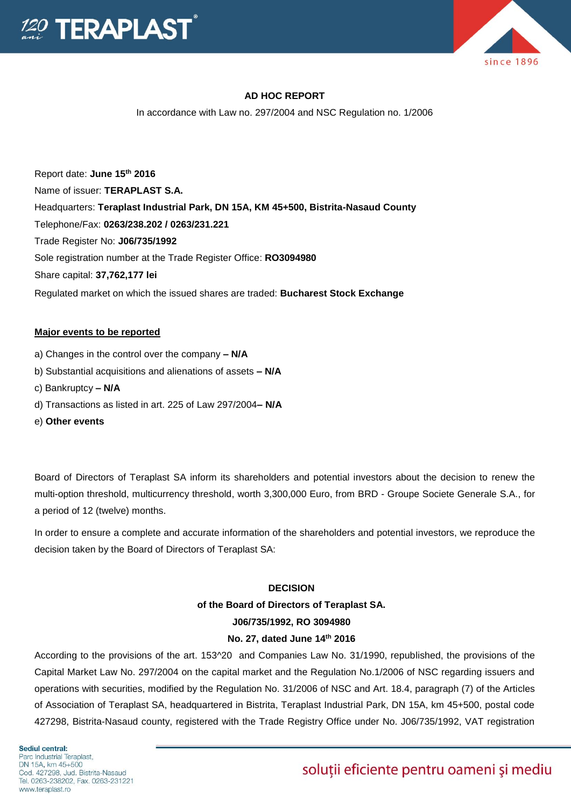

### **AD HOC REPORT**

In accordance with Law no. 297/2004 and NSC Regulation no. 1/2006

Report date: **June 15th 2016** Name of issuer: **TERAPLAST S.A.**  Headquarters: **Teraplast Industrial Park, DN 15A, KM 45+500, Bistrita-Nasaud County** Telephone/Fax: **0263/238.202 / 0263/231.221** Trade Register No: **J06/735/1992** Sole registration number at the Trade Register Office: **RO3094980** Share capital: **37,762,177 lei**  Regulated market on which the issued shares are traded: **Bucharest Stock Exchange**

### **Major events to be reported**

- a) Changes in the control over the company **– N/A**
- b) Substantial acquisitions and alienations of assets **– N/A**
- c) Bankruptcy **– N/A**
- d) Transactions as listed in art. 225 of Law 297/2004**– N/A**
- e) **Other events**

Board of Directors of Teraplast SA inform its shareholders and potential investors about the decision to renew the multi-option threshold, multicurrency threshold, worth 3,300,000 Euro, from BRD - Groupe Societe Generale S.A., for a period of 12 (twelve) months.

In order to ensure a complete and accurate information of the shareholders and potential investors, we reproduce the decision taken by the Board of Directors of Teraplast SA:

#### **DECISION**

## **of the Board of Directors of Teraplast SA. J06/735/1992, RO 3094980**

### **No. 27, dated June 14th 2016**

According to the provisions of the art. 153^20 and Companies Law No. 31/1990, republished, the provisions of the Capital Market Law No. 297/2004 on the capital market and the Regulation No.1/2006 of NSC regarding issuers and operations with securities, modified by the Regulation No. 31/2006 of NSC and Art. 18.4, paragraph (7) of the Articles of Association of Teraplast SA, headquartered in Bistrita, Teraplast Industrial Park, DN 15A, km 45+500, postal code 427298, Bistrita-Nasaud county, registered with the Trade Registry Office under No. J06/735/1992, VAT registration

# soluții eficiente pentru oameni și mediu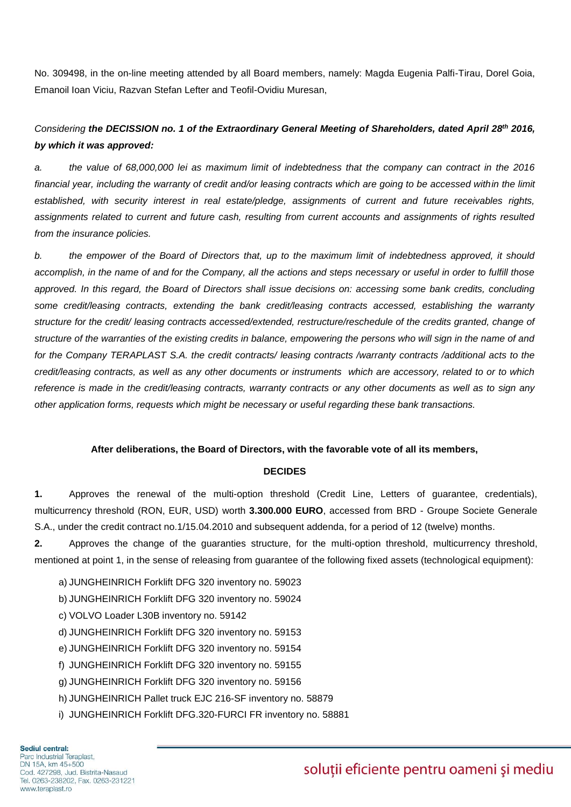No. 309498, in the on-line meeting attended by all Board members, namely: Magda Eugenia Palfi-Tirau, Dorel Goia, Emanoil Ioan Viciu, Razvan Stefan Lefter and Teofil-Ovidiu Muresan,

## *Considering the DECISSION no. 1 of the Extraordinary General Meeting of Shareholders, dated April 28th 2016, by which it was approved:*

*a. the value of 68,000,000 lei as maximum limit of indebtedness that the company can contract in the 2016 financial year, including the warranty of credit and/or leasing contracts which are going to be accessed within the limit established, with security interest in real estate/pledge, assignments of current and future receivables rights, assignments related to current and future cash, resulting from current accounts and assignments of rights resulted from the insurance policies.* 

*b. the empower of the Board of Directors that, up to the maximum limit of indebtedness approved, it should accomplish, in the name of and for the Company, all the actions and steps necessary or useful in order to fulfill those approved. In this regard, the Board of Directors shall issue decisions on: accessing some bank credits, concluding some credit/leasing contracts, extending the bank credit/leasing contracts accessed, establishing the warranty structure for the credit/ leasing contracts accessed/extended, restructure/reschedule of the credits granted, change of structure of the warranties of the existing credits in balance, empowering the persons who will sign in the name of and for the Company TERAPLAST S.A. the credit contracts/ leasing contracts /warranty contracts /additional acts to the credit/leasing contracts, as well as any other documents or instruments which are accessory, related to or to which reference is made in the credit/leasing contracts, warranty contracts or any other documents as well as to sign any other application forms, requests which might be necessary or useful regarding these bank transactions.*

### **After deliberations, the Board of Directors, with the favorable vote of all its members,**

### **DECIDES**

**1.** Approves the renewal of the multi-option threshold (Credit Line, Letters of guarantee, credentials), multicurrency threshold (RON, EUR, USD) worth **3.300.000 EURO**, accessed from BRD - Groupe Societe Generale S.A., under the credit contract no.1/15.04.2010 and subsequent addenda, for a period of 12 (twelve) months.

**2.** Approves the change of the guaranties structure, for the multi-option threshold, multicurrency threshold, mentioned at point 1, in the sense of releasing from guarantee of the following fixed assets (technological equipment):

- a) JUNGHEINRICH Forklift DFG 320 inventory no. 59023
- b) JUNGHEINRICH Forklift DFG 320 inventory no. 59024
- c) VOLVO Loader L30B inventory no. 59142
- d) JUNGHEINRICH Forklift DFG 320 inventory no. 59153
- e) JUNGHEINRICH Forklift DFG 320 inventory no. 59154
- f) JUNGHEINRICH Forklift DFG 320 inventory no. 59155
- g) JUNGHEINRICH Forklift DFG 320 inventory no. 59156
- h) JUNGHEINRICH Pallet truck EJC 216-SF inventory no. 58879
- i) JUNGHEINRICH Forklift DFG.320-FURCI FR inventory no. 58881

# soluții eficiente pentru oameni și mediu